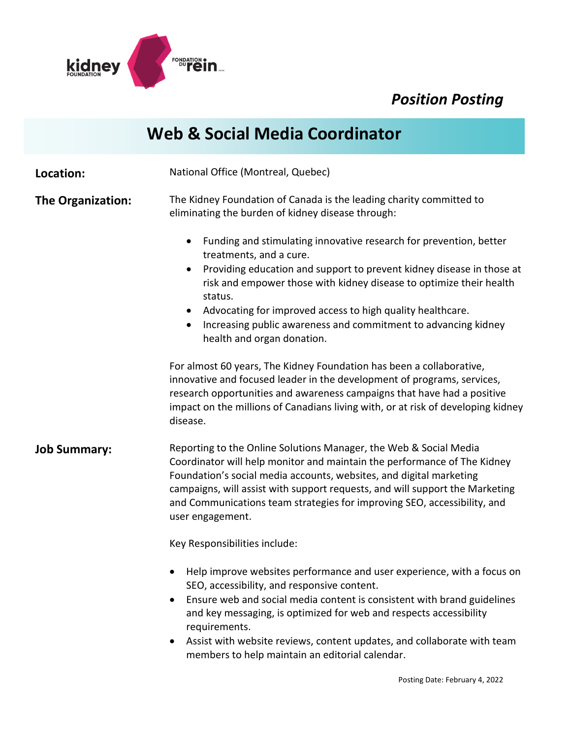

## *Position Posting*

|                          | <b>Web &amp; Social Media Coordinator</b>                                                                                                                                                                                                                                                                                                                                                                                                                                  |
|--------------------------|----------------------------------------------------------------------------------------------------------------------------------------------------------------------------------------------------------------------------------------------------------------------------------------------------------------------------------------------------------------------------------------------------------------------------------------------------------------------------|
| Location:                | National Office (Montreal, Quebec)                                                                                                                                                                                                                                                                                                                                                                                                                                         |
| <b>The Organization:</b> | The Kidney Foundation of Canada is the leading charity committed to<br>eliminating the burden of kidney disease through:                                                                                                                                                                                                                                                                                                                                                   |
|                          | Funding and stimulating innovative research for prevention, better<br>$\bullet$<br>treatments, and a cure.<br>Providing education and support to prevent kidney disease in those at<br>$\bullet$<br>risk and empower those with kidney disease to optimize their health<br>status.<br>Advocating for improved access to high quality healthcare.<br>$\bullet$<br>Increasing public awareness and commitment to advancing kidney<br>$\bullet$<br>health and organ donation. |
|                          | For almost 60 years, The Kidney Foundation has been a collaborative,<br>innovative and focused leader in the development of programs, services,<br>research opportunities and awareness campaigns that have had a positive<br>impact on the millions of Canadians living with, or at risk of developing kidney<br>disease.                                                                                                                                                 |
| <b>Job Summary:</b>      | Reporting to the Online Solutions Manager, the Web & Social Media<br>Coordinator will help monitor and maintain the performance of The Kidney<br>Foundation's social media accounts, websites, and digital marketing<br>campaigns, will assist with support requests, and will support the Marketing<br>and Communications team strategies for improving SEO, accessibility, and<br>user engagement.                                                                       |
|                          | Key Responsibilities include:                                                                                                                                                                                                                                                                                                                                                                                                                                              |
|                          | Help improve websites performance and user experience, with a focus on<br>SEO, accessibility, and responsive content.<br>Ensure web and social media content is consistent with brand guidelines<br>and key messaging, is optimized for web and respects accessibility<br>requirements.<br>Assist with website reviews, content updates, and collaborate with team                                                                                                         |

members to help maintain an editorial calendar.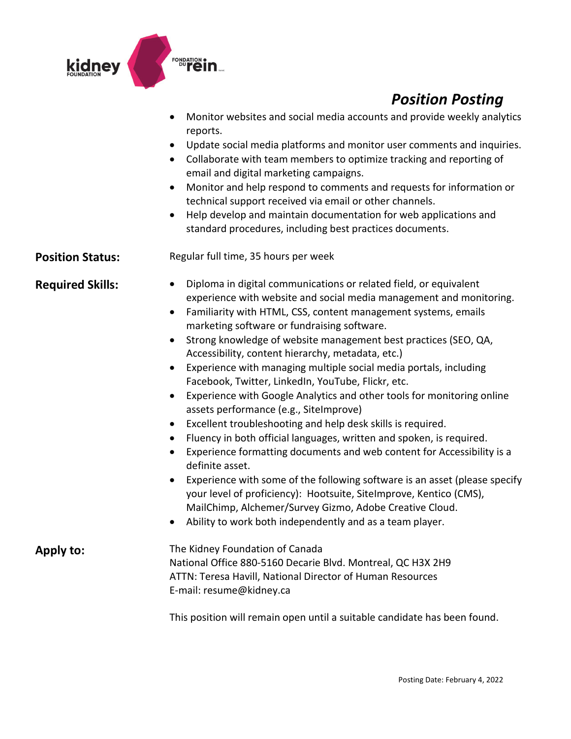

## *Position Posting*

- Monitor websites and social media accounts and provide weekly analytics reports.
- Update social media platforms and monitor user comments and inquiries.
- Collaborate with team members to optimize tracking and reporting of email and digital marketing campaigns.
- Monitor and help respond to comments and requests for information or technical support received via email or other channels.
- Help develop and maintain documentation for web applications and standard procedures, including best practices documents.

**Position Status:** Regular full time, 35 hours per week

- **Required Skills:** Diploma in digital communications or related field, or equivalent experience with website and social media management and monitoring.
	- Familiarity with HTML, CSS, content management systems, emails marketing software or fundraising software.
	- Strong knowledge of website management best practices (SEO, QA, Accessibility, content hierarchy, metadata, etc.)
	- Experience with managing multiple social media portals, including Facebook, Twitter, LinkedIn, YouTube, Flickr, etc.
	- Experience with Google Analytics and other tools for monitoring online assets performance (e.g., SiteImprove)
	- Excellent troubleshooting and help desk skills is required.
	- Fluency in both official languages, written and spoken, is required.
	- Experience formatting documents and web content for Accessibility is a definite asset.
	- Experience with some of the following software is an asset (please specify your level of proficiency): Hootsuite, SiteImprove, Kentico (CMS), MailChimp, Alchemer/Survey Gizmo, Adobe Creative Cloud.
	- Ability to work both independently and as a team player.

**Apply to:** The Kidney Foundation of Canada National Office 880-5160 Decarie Blvd. Montreal, QC H3X 2H9 ATTN: Teresa Havill, National Director of Human Resources E-mail: resume@kidney.ca

This position will remain open until a suitable candidate has been found.